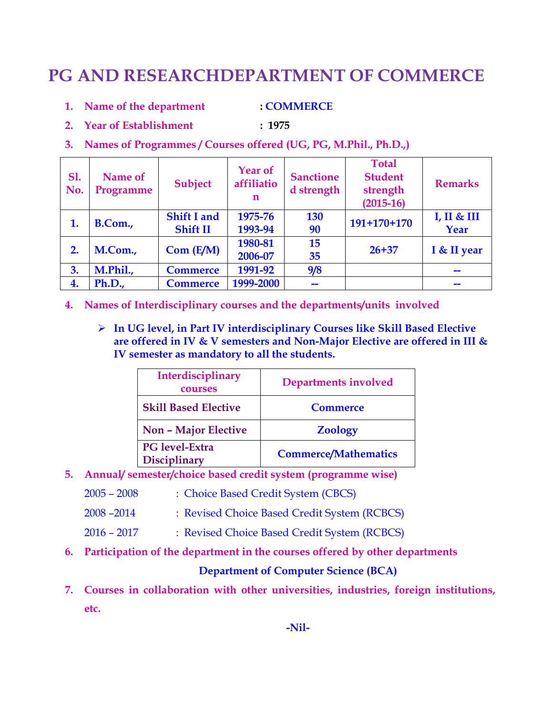# **PG AND RESEARCHDEPARTMENT OF COMMERCE**

- **1. Name of the department : COMMERCE**
- **2. Year of Establishment : 1975**
- **3. Names of Programmes / Courses offered (UG, PG, M.Phil., Ph.D.,)**

| <b>S1.</b><br>No. | Name of<br>Programme | <b>Subject</b>     | <b>Year of</b><br>affiliatio<br>n | <b>Sanctione</b><br>d strength | <b>Total</b><br><b>Student</b><br>strength<br>$(2015-16)$ | <b>Remarks</b> |  |
|-------------------|----------------------|--------------------|-----------------------------------|--------------------------------|-----------------------------------------------------------|----------------|--|
| 1.                | B.Com.,              | <b>Shift I and</b> | 1975-76                           | <b>130</b>                     | $191+170+170$                                             | I, II & III    |  |
|                   |                      | <b>Shift II</b>    | 1993-94                           | 90                             |                                                           | Year           |  |
| 2.                | M.Com.,              |                    | 1980-81                           | 15                             | $26 + 37$                                                 |                |  |
|                   |                      | Com (E/M)          | 2006-07                           | 35                             |                                                           | I & II year    |  |
| 3.                | M.Phil.,             | <b>Commerce</b>    | 1991-92                           | 9/8                            |                                                           |                |  |
| 4.                | Ph.D.,               | <b>Commerce</b>    | 1999-2000                         |                                |                                                           |                |  |

- **4. Names of Interdisciplinary courses and the departments/units involved**
	- **In UG level, in Part IV interdisciplinary Courses like Skill Based Elective are offered in IV & V semesters and Non-Major Elective are offered in III & IV semester as mandatory to all the students.**

| Interdisciplinary<br>courses          | <b>Departments involved</b> |
|---------------------------------------|-----------------------------|
| <b>Skill Based Elective</b>           | <b>Commerce</b>             |
| <b>Non - Major Elective</b>           | <b>Zoology</b>              |
| PG level-Extra<br><b>Disciplinary</b> | <b>Commerce/Mathematics</b> |

- **5. Annual/ semester/choice based credit system (programme wise)** 
	- 2005 2008 : Choice Based Credit System (CBCS)
	- 2008 –2014 : Revised Choice Based Credit System (RCBCS)
	- 2016 2017 : Revised Choice Based Credit System (RCBCS)
- **6. Participation of the department in the courses offered by other departments**

#### **Department of Computer Science (BCA)**

**7. Courses in collaboration with other universities, industries, foreign institutions, etc.**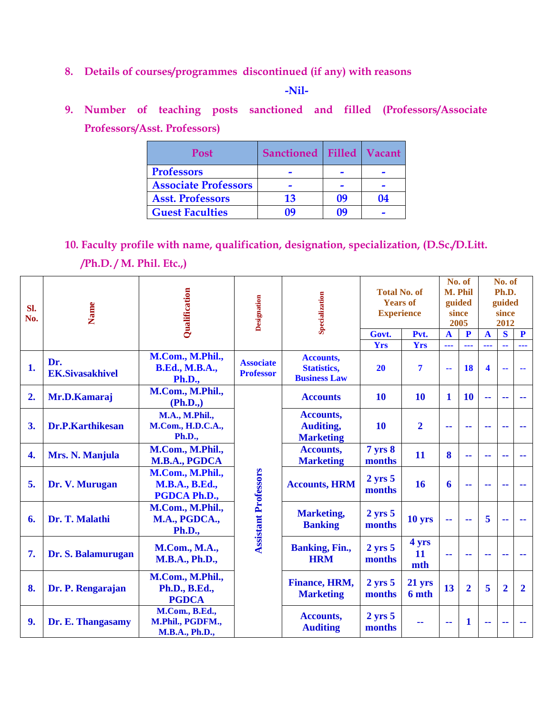**8. Details of courses/programmes discontinued (if any) with reasons** 

 **-Nil-**

**9. Number of teaching posts sanctioned and filled (Professors/Associate Professors/Asst. Professors)** 

| <b>Post</b>                 | Sanctioned Filled Vacant |    |    |
|-----------------------------|--------------------------|----|----|
| <b>Professors</b>           |                          |    |    |
| <b>Associate Professors</b> |                          |    |    |
| <b>Asst. Professors</b>     | 13                       | 09 | 04 |
| <b>Guest Faculties</b>      | 19                       | Ոዓ |    |

**10. Faculty profile with name, qualification, designation, specialization, (D.Sc./D.Litt. /Ph.D. / M. Phil. Etc.,)**

| Sl.<br>No.       | Name                          | Qualification                                                      | Designation                          | Specialization                                                | <b>Total No. of</b><br><b>Years of</b><br><b>Experience</b> |                    | No. of<br>M. Phil<br>guided<br>since<br>2005 |                | No. of<br>Ph.D.<br>guided<br>since<br>2012 |                |                |
|------------------|-------------------------------|--------------------------------------------------------------------|--------------------------------------|---------------------------------------------------------------|-------------------------------------------------------------|--------------------|----------------------------------------------|----------------|--------------------------------------------|----------------|----------------|
|                  |                               |                                                                    |                                      |                                                               | Govt.                                                       | Pvt.               | $\overline{\mathbf{A}}$                      | P              | $\overline{\mathbf{A}}$                    | $\bf S$        | $\mathbf{P}$   |
|                  |                               |                                                                    |                                      |                                                               | <b>Yrs</b>                                                  | <b>Yrs</b>         | ---                                          | ---            | ---                                        |                | ---            |
| 1.               | Dr.<br><b>EK.Sivasakhivel</b> | M.Com., M.Phil.,<br><b>B.Ed., M.B.A.,</b><br><b>Ph.D.,</b>         | <b>Associate</b><br><b>Professor</b> | <b>Accounts,</b><br><b>Statistics,</b><br><b>Business Law</b> | <b>20</b>                                                   | $\overline{7}$     | 44                                           | 18             | $\overline{\mathbf{4}}$                    |                |                |
| 2.               | Mr.D.Kamaraj                  | M.Com., M.Phil.,<br>(Ph.D.,)                                       |                                      | <b>Accounts</b>                                               | 10                                                          | 10                 | 1                                            | <b>10</b>      | $\sim$                                     | --             | --             |
| 3.               | Dr.P.Karthikesan              | <b>M.A., M.Phil.,</b><br><b>M.Com., H.D.C.A.,</b><br><b>Ph.D.,</b> |                                      | <b>Accounts,</b><br><b>Auditing,</b><br><b>Marketing</b>      | <b>10</b>                                                   | $\overline{2}$     | --                                           | --             | --                                         | ۰.             |                |
| $\overline{4}$ . | Mrs. N. Manjula               | M.Com., M.Phil.,<br>M.B.A., PGDCA                                  |                                      | <b>Accounts,</b><br><b>Marketing</b>                          | <b>7</b> yrs 8<br>months                                    | 11                 | 8                                            | 44             | ۰.                                         | н.             |                |
| 5.               | Dr. V. Murugan                | M.Com., M.Phil.,<br><b>M.B.A., B.Ed.,</b><br>PGDCA Ph.D.,          |                                      | <b>Accounts, HRM</b>                                          | $2 \text{ yrs } 5$<br>months                                | 16                 | 6                                            | 44             | --                                         | --             |                |
| 6.               | Dr. T. Malathi                | M.Com., M.Phil.,<br>M.A., PGDCA.,<br><b>Ph.D.,</b>                 | <b>Assistant Professors</b>          | <b>Marketing,</b><br><b>Banking</b>                           | $2 \text{ yrs } 5$<br>months                                | 10 yrs             | 44                                           |                | 5                                          |                |                |
| 7.               | Dr. S. Balamurugan            | <b>M.Com., M.A.,</b><br><b>M.B.A., Ph.D.,</b>                      |                                      | <b>Banking, Fin.,</b><br><b>HRM</b>                           | $2$ yrs $5$<br>months                                       | 4 yrs<br>11<br>mth | н.                                           | --             | 44                                         | ۰.             |                |
| 8.               | Dr. P. Rengarajan             | M.Com., M.Phil.,<br>Ph.D., B.Ed.,<br><b>PGDCA</b>                  |                                      | <b>Finance, HRM,</b><br><b>Marketing</b>                      | $2$ yrs $5$<br>months                                       | 21 yrs<br>6 mth    | 13                                           | $\overline{2}$ | 5                                          | $\overline{2}$ | $\overline{2}$ |
| 9.               | Dr. E. Thangasamy             | M.Com., B.Ed.,<br>M.Phil., PGDFM.,<br><b>M.B.A., Ph.D.,</b>        |                                      | <b>Accounts,</b><br><b>Auditing</b>                           | $2 \text{ yrs } 5$<br>months                                | --                 | 44                                           | 1              | ۰.                                         |                |                |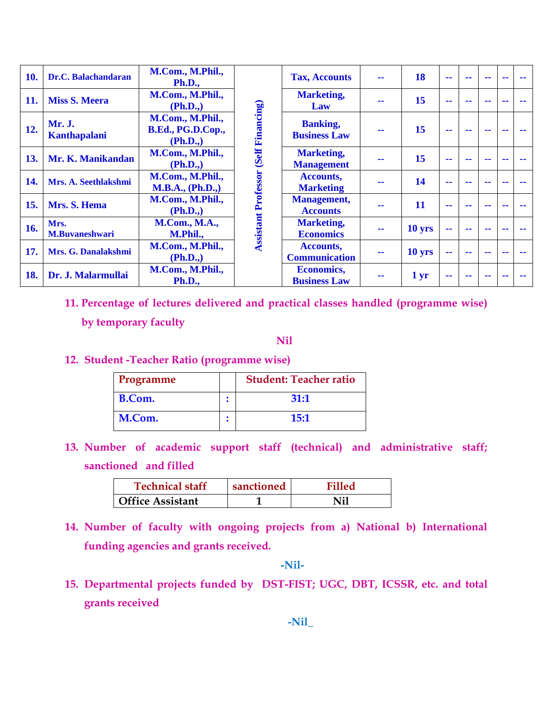| 10. | Dr.C. Balachandaran           | M.Com., M.Phil.,<br><b>Ph.D.,</b>                 |                            | <b>Tax, Accounts</b>                     | -- | 18              | - - | -- | --            | -- |
|-----|-------------------------------|---------------------------------------------------|----------------------------|------------------------------------------|----|-----------------|-----|----|---------------|----|
| 11. | <b>Miss S. Meera</b>          | M.Com., M.Phil.,<br>(Ph.D.,)                      |                            | <b>Marketing,</b><br>Law                 |    | 15              | - - |    | --            |    |
| 12. | Mr. J.<br><b>Kanthapalani</b> | M.Com., M.Phil.,<br>B.Ed., PG.D.Cop.,<br>(Ph.D.,) | (Self Financing)           | <b>Banking,</b><br><b>Business Law</b>   |    | 15              | - - |    | --            |    |
| 13. | Mr. K. Manikandan             | M.Com., M.Phil.,<br>(Ph.D.,)                      |                            | <b>Marketing,</b><br><b>Management</b>   | -- | 15              | --  |    |               |    |
| 14. | Mrs. A. Seethlakshmi          | M.Com., M.Phil.,<br><b>M.B.A., (Ph.D.,)</b>       |                            | <b>Accounts,</b><br><b>Marketing</b>     | -- | 14              | --  |    | --            |    |
| 15. | Mrs. S. Hema                  | M.Com., M.Phil.,<br>(Ph.D.,)                      |                            | <b>Management,</b><br><b>Accounts</b>    | -- | 11              | --  | -- | --            |    |
| 16. | Mrs.<br><b>M.Buvaneshwari</b> | <b>M.Com., M.A.,</b><br>M.Phil.,                  | <b>Assistant Professor</b> | <b>Marketing,</b><br><b>Economics</b>    | -- | 10 yrs          | н.  | -- | $\sim$ $\sim$ | -- |
| 17. | Mrs. G. Danalakshmi           | M.Com., M.Phil.,<br>(Ph.D.,)                      |                            | <b>Accounts,</b><br><b>Communication</b> | -- | 10 yrs          | --  | -- | --            |    |
| 18. | Dr. J. Malarmullai            | M.Com., M.Phil.,<br><b>Ph.D.,</b>                 |                            | <b>Economics,</b><br><b>Business Law</b> | -- | 1 <sub>yr</sub> | н.  |    |               |    |

**11. Percentage of lectures delivered and practical classes handled (programme wise)** 

**by temporary faculty**

**Nil**

**12. Student -Teacher Ratio (programme wise)**

| Programme | <b>Student: Teacher ratio</b> |
|-----------|-------------------------------|
| B.Com.    | 31:1                          |
| M.Com.    | 15:1                          |

**13. Number of academic support staff (technical) and administrative staff; sanctioned and filled**

| <b>Technical staff</b>  | sanctioned | Filled |
|-------------------------|------------|--------|
| <b>Office Assistant</b> |            |        |

**14. Number of faculty with ongoing projects from a) National b) International funding agencies and grants received.**

**-Nil-**

**15. Departmental projects funded by DST-FIST; UGC, DBT, ICSSR, etc. and total grants received**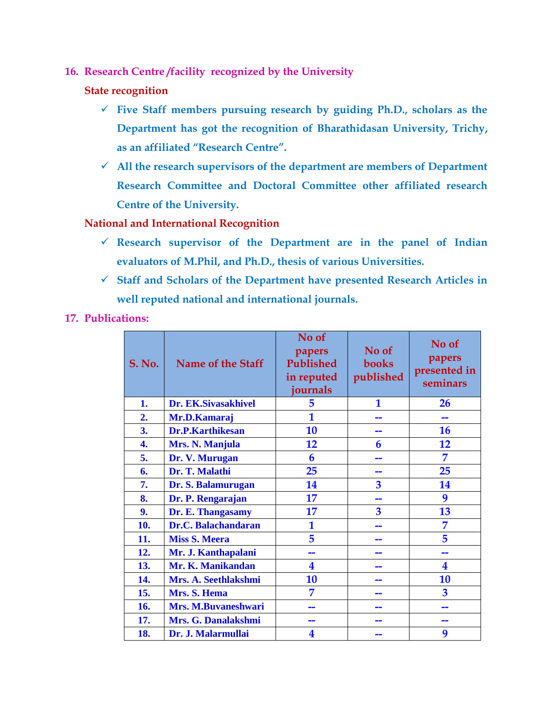- **16. Research Centre /facility recognized by the University**
	- **State recognition**
		- **Five Staff members pursuing research by guiding Ph.D., scholars as the Department has got the recognition of Bharathidasan University, Trichy, as an affiliated "Research Centre".**
		- **All the research supervisors of the department are members of Department Research Committee and Doctoral Committee other affiliated research Centre of the University.**

**National and International Recognition**

- **Research supervisor of the Department are in the panel of Indian evaluators of M.Phil, and Ph.D., thesis of various Universities.**
- **Staff and Scholars of the Department have presented Research Articles in well reputed national and international journals.**
- **17. Publications:**

| <b>S. No.</b> | Name of the Staff    | No of<br>papers<br>Published<br>in reputed<br>journals | No of<br>books<br>published | No of<br>papers<br>presented in<br>seminars |
|---------------|----------------------|--------------------------------------------------------|-----------------------------|---------------------------------------------|
| 1.            | Dr. EK.Sivasakhivel  | 5                                                      | 1                           | 26                                          |
| 2.            | Mr.D.Kamaraj         | 1                                                      |                             |                                             |
| 3.            | Dr.P.Karthikesan     | 10                                                     |                             | <b>16</b>                                   |
| 4.            | Mrs. N. Manjula      | 12                                                     | 6                           | 12                                          |
| 5.            | Dr. V. Murugan       | 6                                                      | - 1                         | 7                                           |
| 6.            | Dr. T. Malathi       | 25                                                     |                             | 25                                          |
| 7.            | Dr. S. Balamurugan   | 14                                                     | 3                           | 14                                          |
| 8.            | Dr. P. Rengarajan    | 17                                                     | --                          | 9                                           |
| 9.            | Dr. E. Thangasamy    | 17                                                     | 3                           | 13                                          |
| 10.           | Dr.C. Balachandaran  | 1                                                      |                             | 7                                           |
| 11.           | <b>Miss S. Meera</b> | 5                                                      |                             | 5                                           |
| 12.           | Mr. J. Kanthapalani  |                                                        |                             |                                             |
| 13.           | Mr. K. Manikandan    | 4                                                      |                             | 4                                           |
| 14.           | Mrs. A. Seethlakshmi | 10                                                     |                             | 10                                          |
| 15.           | Mrs. S. Hema         | 7                                                      |                             | 3                                           |
| 16.           | Mrs. M.Buvaneshwari  | --                                                     | --                          | --                                          |
| 17.           | Mrs. G. Danalakshmi  |                                                        |                             |                                             |
| 18.           | Dr. J. Malarmullai   | 4                                                      |                             | 9                                           |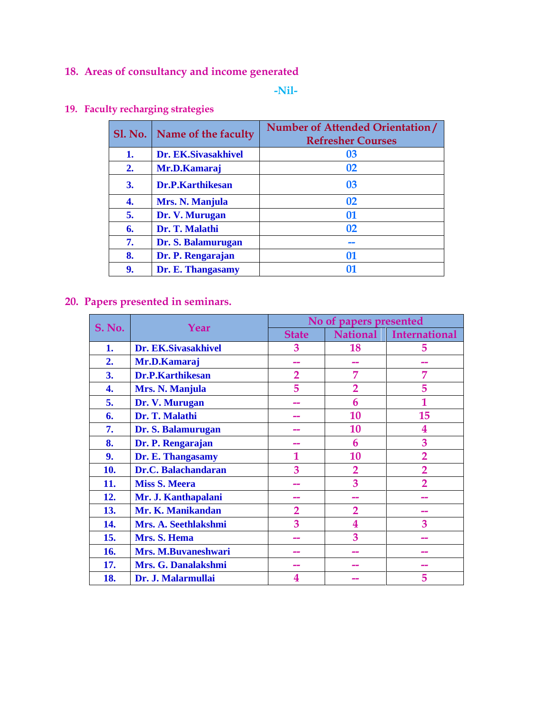## **18. Areas of consultancy and income generated**

#### **-Nil-**

|    | Sl. No. Name of the faculty | Number of Attended Orientation/<br><b>Refresher Courses</b> |
|----|-----------------------------|-------------------------------------------------------------|
| 1. | Dr. EK.Sivasakhivel         | 03                                                          |
| 2. | Mr.D.Kamaraj                | 02                                                          |
| 3. | <b>Dr.P.Karthikesan</b>     | 03                                                          |
| 4. | Mrs. N. Manjula             | 02                                                          |
| 5. | Dr. V. Murugan              | 01                                                          |
| 6. | Dr. T. Malathi              | 02                                                          |
| 7. | Dr. S. Balamurugan          |                                                             |
| 8. | Dr. P. Rengarajan           | 01                                                          |
| 9. | Dr. E. Thangasamy           | 01                                                          |

## **19. Faculty recharging strategies**

## **20. Papers presented in seminars.**

|               | Year                    | No of papers presented |                 |                      |  |  |
|---------------|-------------------------|------------------------|-----------------|----------------------|--|--|
| <b>S. No.</b> |                         | <b>State</b>           | <b>National</b> | <b>International</b> |  |  |
| 1.            | Dr. EK.Sivasakhivel     | 3                      | 18              | 5                    |  |  |
| 2.            | Mr.D.Kamaraj            |                        |                 |                      |  |  |
| 3.            | <b>Dr.P.Karthikesan</b> | $\overline{2}$         | 7               | 7                    |  |  |
| 4.            | Mrs. N. Manjula         | 5                      | $\overline{2}$  | 5                    |  |  |
| 5.            | Dr. V. Murugan          | --                     | 6               | $\mathbf{1}$         |  |  |
| 6.            | Dr. T. Malathi          | --                     | 10              | 15                   |  |  |
| 7.            | Dr. S. Balamurugan      |                        | 10              | 4                    |  |  |
| 8.            | Dr. P. Rengarajan       |                        | 6               | 3                    |  |  |
| 9.            | Dr. E. Thangasamy       |                        | 10              | $\overline{2}$       |  |  |
| 10.           | Dr.C. Balachandaran     | 3                      | $\overline{2}$  | $\overline{2}$       |  |  |
| 11.           | <b>Miss S. Meera</b>    |                        | 3               | $\mathcal{P}$        |  |  |
| 12.           | Mr. J. Kanthapalani     |                        |                 |                      |  |  |
| 13.           | Mr. K. Manikandan       | $\overline{2}$         | $\overline{2}$  |                      |  |  |
| 14.           | Mrs. A. Seethlakshmi    | 3                      | 4               | 3                    |  |  |
| 15.           | Mrs. S. Hema            |                        | 3               |                      |  |  |
| 16.           | Mrs. M.Buvaneshwari     |                        |                 |                      |  |  |
| 17.           | Mrs. G. Danalakshmi     |                        |                 |                      |  |  |
| 18.           | Dr. J. Malarmullai      | 4                      |                 | 5                    |  |  |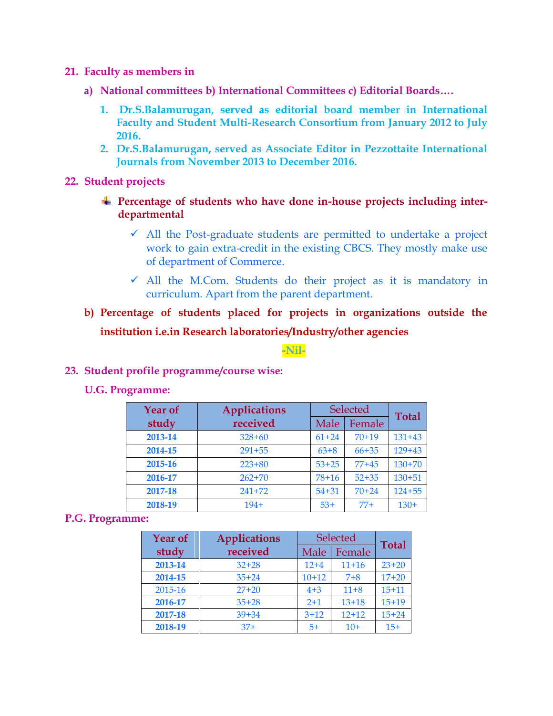- **21. Faculty as members in** 
	- **a) National committees b) International Committees c) Editorial Boards….**
		- **1. Dr.S.Balamurugan, served as editorial board member in International Faculty and Student Multi-Research Consortium from January 2012 to July 2016.**
		- **2. Dr.S.Balamurugan, served as Associate Editor in Pezzottaite International Journals from November 2013 to December 2016.**
- **22. Student projects** 
	- **Percentage of students who have done in-house projects including interdepartmental** 
		- $\checkmark$  All the Post-graduate students are permitted to undertake a project work to gain extra-credit in the existing CBCS. They mostly make use of department of Commerce.
		- $\checkmark$  All the M.Com. Students do their project as it is mandatory in curriculum. Apart from the parent department.
	- **b) Percentage of students placed for projects in organizations outside the institution i.e.in Research laboratories/Industry/other agencies**

#### **-Nil-**

#### **23. Student profile programme/course wise:**

#### **U.G. Programme:**

| <b>Year of</b> | <b>Applications</b> | Selected  |           |              |
|----------------|---------------------|-----------|-----------|--------------|
| study          | received            | Male      | Female    | <b>Total</b> |
| 2013-14        | $328 + 60$          | $61 + 24$ | $70+19$   | $131 + 43$   |
| 2014-15        | $291 + 55$          | $63+8$    | $66 + 35$ | $129+43$     |
| 2015-16        | $223 + 80$          | $53 + 25$ | $77+45$   | $130+70$     |
| 2016-17        | $262+70$            | $78+16$   | $52 + 35$ | $130 + 51$   |
| 2017-18        | $241 + 72$          | $54 + 31$ | $70+24$   | $124 + 55$   |
| 2018-19        | $194+$              | $53+$     | $77+$     | $130+$       |

#### **P.G. Programme:**

| <b>Year of</b> | <b>Applications</b> | Selected |           | <b>Total</b> |
|----------------|---------------------|----------|-----------|--------------|
| study          | received            | Male     | Female    |              |
| 2013-14        | $32 + 28$           | $12+4$   | $11+16$   | $23 + 20$    |
| 2014-15        | $35 + 24$           | $10+12$  | $7 + 8$   | $17+20$      |
| 2015-16        | $27 + 20$           | $4 + 3$  | $11+8$    | $15 + 11$    |
| 2016-17        | $35+28$             | $2 + 1$  | $13 + 18$ | $15+19$      |
| 2017-18        | $39 + 34$           | $3 + 12$ | $12+12$   | $15 + 24$    |
| 2018-19        | $37+$               | $5+$     | $10+$     | $15+$        |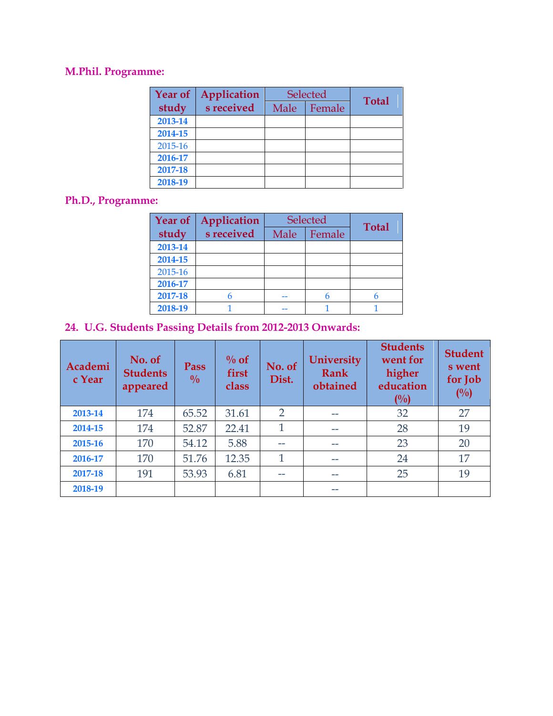## **M.Phil. Programme:**

| <b>Year of</b> | Application |      | Selected | <b>Total</b> |  |
|----------------|-------------|------|----------|--------------|--|
| study          | s received  | Male | Female   |              |  |
| 2013-14        |             |      |          |              |  |
| 2014-15        |             |      |          |              |  |
| 2015-16        |             |      |          |              |  |
| 2016-17        |             |      |          |              |  |
| 2017-18        |             |      |          |              |  |
| 2018-19        |             |      |          |              |  |

## **Ph.D., Programme:**

| <b>Year of</b> | Application |      | <b>Selected</b> | <b>Total</b> |  |  |
|----------------|-------------|------|-----------------|--------------|--|--|
| study          | s received  | Male | Female          |              |  |  |
| 2013-14        |             |      |                 |              |  |  |
| 2014-15        |             |      |                 |              |  |  |
| 2015-16        |             |      |                 |              |  |  |
| 2016-17        |             |      |                 |              |  |  |
| 2017-18        |             |      | h               |              |  |  |
| 2018-19        |             |      |                 |              |  |  |

## **24. U.G. Students Passing Details from 2012-2013 Onwards:**

| Academi<br>c Year | No. of<br><b>Students</b><br>appeared | Pass<br>$\frac{0}{0}$ | $\%$ of<br>first<br>class | No. of<br>Dist. | <b>University</b><br><b>Rank</b><br>obtained | <b>Students</b><br>went for<br>higher<br>education<br>$($ %) | <b>Student</b><br>s went<br>for Job<br>(0/0) |
|-------------------|---------------------------------------|-----------------------|---------------------------|-----------------|----------------------------------------------|--------------------------------------------------------------|----------------------------------------------|
| 2013-14           | 174                                   | 65.52                 | 31.61                     | $\overline{2}$  |                                              | 32                                                           | 27                                           |
| 2014-15           | 174                                   | 52.87                 | 22.41                     | 1               | $- -$                                        | 28                                                           | 19                                           |
| 2015-16           | 170                                   | 54.12                 | 5.88                      | --              |                                              | 23                                                           | 20                                           |
| 2016-17           | 170                                   | 51.76                 | 12.35                     | 1               | $- -$                                        | 24                                                           | 17                                           |
| 2017-18           | 191                                   | 53.93                 | 6.81                      | --              | $- -$                                        | 25                                                           | 19                                           |
| 2018-19           |                                       |                       |                           |                 | $- -$                                        |                                                              |                                              |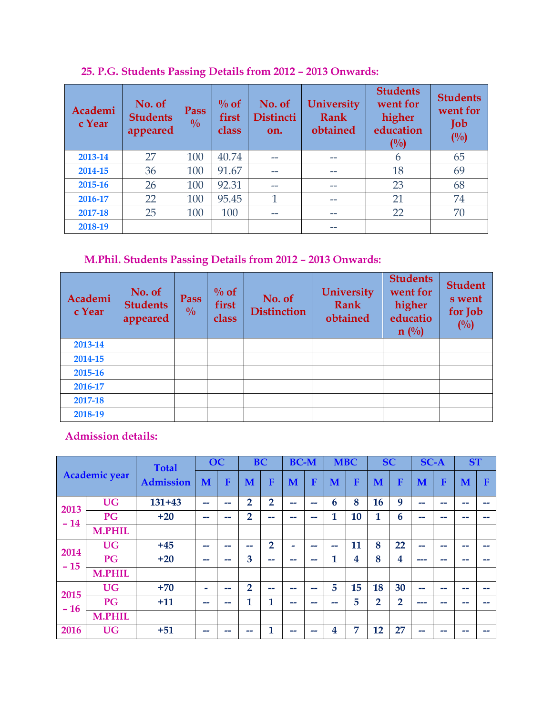| Academi<br>c Year | No. of<br><b>Students</b><br>appeared | Pass<br>$\frac{0}{0}$ | $\%$ of<br>first<br>class | No. of<br><b>Distincti</b><br>on. | <b>University</b><br><b>Rank</b><br>obtained | <b>Students</b><br>went for<br>higher<br>education<br>(0/0) | <b>Students</b><br>went for<br>Job<br>(0/0) |
|-------------------|---------------------------------------|-----------------------|---------------------------|-----------------------------------|----------------------------------------------|-------------------------------------------------------------|---------------------------------------------|
| 2013-14           | 27                                    | 100                   | 40.74                     |                                   | --                                           | 6                                                           | 65                                          |
| 2014-15           | 36                                    | 100                   | 91.67                     | --                                | --                                           | 18                                                          | 69                                          |
| 2015-16           | 26                                    | 100                   | 92.31                     |                                   | --                                           | 23                                                          | 68                                          |
| 2016-17           | 22                                    | 100                   | 95.45                     | 1                                 | --                                           | 21                                                          | 74                                          |
| 2017-18           | 25                                    | 100                   | 100                       | --                                | --                                           | 22                                                          | 70                                          |
| 2018-19           |                                       |                       |                           |                                   | --                                           |                                                             |                                             |

**25. P.G. Students Passing Details from 2012 – 2013 Onwards:**

## **M.Phil. Students Passing Details from 2012 – 2013 Onwards:**

| Academi<br>c Year | No. of<br><b>Students</b><br>appeared | Pass<br>$\frac{0}{0}$ | $\%$ of<br>first<br>class | No. of<br><b>Distinction</b> | <b>University</b><br><b>Rank</b><br>obtained | <b>Students</b><br>went for<br>higher<br>educatio<br>$n(^{0}/_{0})$ | <b>Student</b><br>s went<br>for Job<br>(0/0) |
|-------------------|---------------------------------------|-----------------------|---------------------------|------------------------------|----------------------------------------------|---------------------------------------------------------------------|----------------------------------------------|
| 2013-14           |                                       |                       |                           |                              |                                              |                                                                     |                                              |
| 2014-15           |                                       |                       |                           |                              |                                              |                                                                     |                                              |
| 2015-16           |                                       |                       |                           |                              |                                              |                                                                     |                                              |
| 2016-17           |                                       |                       |                           |                              |                                              |                                                                     |                                              |
| 2017-18           |                                       |                       |                           |                              |                                              |                                                                     |                                              |
| 2018-19           |                                       |                       |                           |                              |                                              |                                                                     |                                              |

**Admission details:** 

|       |                      | <b>Total</b>     | <b>OC</b>                |                |                | <b>BC</b>      | <b>BC-M</b> |                          | <b>MBC</b> |    | <b>SC</b>      |                         | <b>SC-A</b>              |    | <b>ST</b>                |        |
|-------|----------------------|------------------|--------------------------|----------------|----------------|----------------|-------------|--------------------------|------------|----|----------------|-------------------------|--------------------------|----|--------------------------|--------|
|       | <b>Academic year</b> | <b>Admission</b> | M                        | F              | M              | F              | M           | F                        | M          | F  | M              | F                       | M                        | F  | M                        | F      |
| 2013  | <b>UG</b>            | $131 + 43$       | $\overline{\phantom{a}}$ | --             | $\overline{2}$ | $\overline{2}$ | --          | $\overline{\phantom{a}}$ | 6          | 8  | 16             | 9                       | --                       | -- | --                       | --     |
| $-14$ | PG                   | $+20$            | --                       | --             | $\overline{2}$ | --             | --          | $\overline{\phantom{a}}$ | 1          | 10 | 1              | 6                       | --                       | -- | $\overline{\phantom{a}}$ | $\sim$ |
|       | <b>M.PHIL</b>        |                  |                          |                |                |                |             |                          |            |    |                |                         |                          |    |                          |        |
| 2014  | <b>UG</b>            | $+45$            | $\overline{\phantom{a}}$ | $\overline{ }$ | --             | $\overline{2}$ | -           | $\overline{\phantom{a}}$ | --         | 11 | 8              | 22                      | --                       | -- | --                       | --     |
| $-15$ | <b>PG</b>            | $+20$            | --                       | --             | 3              | --             | --          | $\overline{\phantom{a}}$ | 1          | 4  | 8              | $\overline{\mathbf{4}}$ | ---                      | -- | --                       | --     |
|       | <b>M.PHIL</b>        |                  |                          |                |                |                |             |                          |            |    |                |                         |                          |    |                          |        |
| 2015  | <b>UG</b>            | $+70$            | -                        | --             | $\overline{2}$ | --             | --          | --                       | 5          | 15 | 18             | 30                      | --                       | -- | --                       | $\sim$ |
| $-16$ | <b>PG</b>            | $+11$            | --                       | $\overline{ }$ | 1              | 1              | --          | --                       | --         | 5  | $\overline{2}$ | $\overline{2}$          | $\overline{\phantom{a}}$ | -- |                          |        |
|       | <b>M.PHIL</b>        |                  |                          |                |                |                |             |                          |            |    |                |                         |                          |    |                          |        |
| 2016  | <b>UG</b>            | $+51$            | --                       | --             | --             | 1              | --          | --                       | 4          | 7  | 12             | 27                      | --                       | -- | $\overline{\phantom{a}}$ | --     |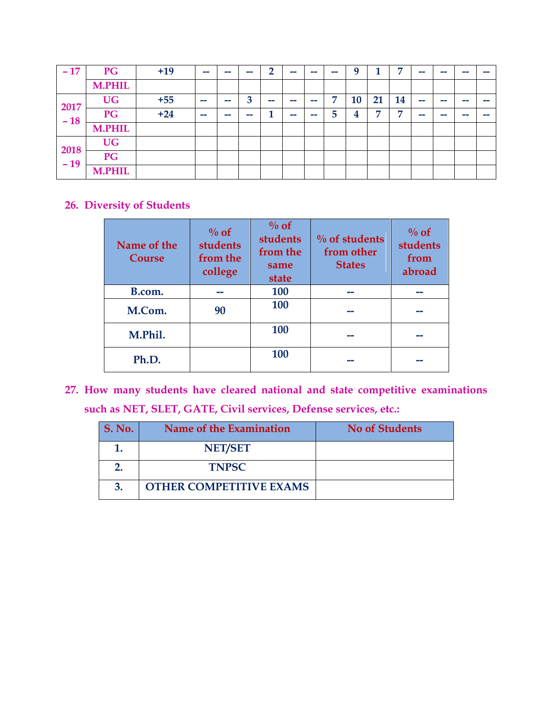| $-17$ | PG            | $+19$ | -- | -- | -- | $\overline{2}$ | $\overline{\phantom{a}}$ | $\overline{\phantom{a}}$ | --             | Q  | и              | $\overline{ }$ | -- | $-$ | سي  | $-$ |
|-------|---------------|-------|----|----|----|----------------|--------------------------|--------------------------|----------------|----|----------------|----------------|----|-----|-----|-----|
|       | <b>M.PHIL</b> |       |    |    |    |                |                          |                          |                |    |                |                |    |     |     |     |
| 2017  | <b>UG</b>     | $+55$ | -- | -- | 3  | --             | --                       | --                       | $\overline{7}$ | 10 | 21             | 14             | -- | ست  | --  | --  |
| $-18$ | PG            | $+24$ | -- | -- | -- | 1              | --                       | --                       | 5              | 4  | $\overline{ }$ | $\overline{ }$ | -- | ست  | - - | --  |
|       | <b>M.PHIL</b> |       |    |    |    |                |                          |                          |                |    |                |                |    |     |     |     |
| 2018  | <b>UG</b>     |       |    |    |    |                |                          |                          |                |    |                |                |    |     |     |     |
| $-19$ | PG            |       |    |    |    |                |                          |                          |                |    |                |                |    |     |     |     |
|       | <b>M.PHIL</b> |       |    |    |    |                |                          |                          |                |    |                |                |    |     |     |     |

## **26. Diversity of Students**

| Name of the<br>Course | $\%$ of<br>students<br>from the<br>college | $\%$ of<br><b>students</b><br>from the<br>same<br>state | $\%$ of students<br>from other<br><b>States</b> | $\%$ of<br>students<br>from<br>abroad |
|-----------------------|--------------------------------------------|---------------------------------------------------------|-------------------------------------------------|---------------------------------------|
| B.com.                |                                            | 100                                                     |                                                 |                                       |
| M.Com.                | 100<br>90                                  |                                                         |                                                 |                                       |
| M.Phil.               | 100                                        |                                                         |                                                 |                                       |
| Ph.D.                 |                                            | 100                                                     |                                                 |                                       |

**27. How many students have cleared national and state competitive examinations such as NET, SLET, GATE, Civil services, Defense services, etc.:** 

| <b>S. No.</b> | Name of the Examination        | <b>No of Students</b> |
|---------------|--------------------------------|-----------------------|
|               | <b>NET/SET</b>                 |                       |
|               | <b>TNPSC</b>                   |                       |
| 3.            | <b>OTHER COMPETITIVE EXAMS</b> |                       |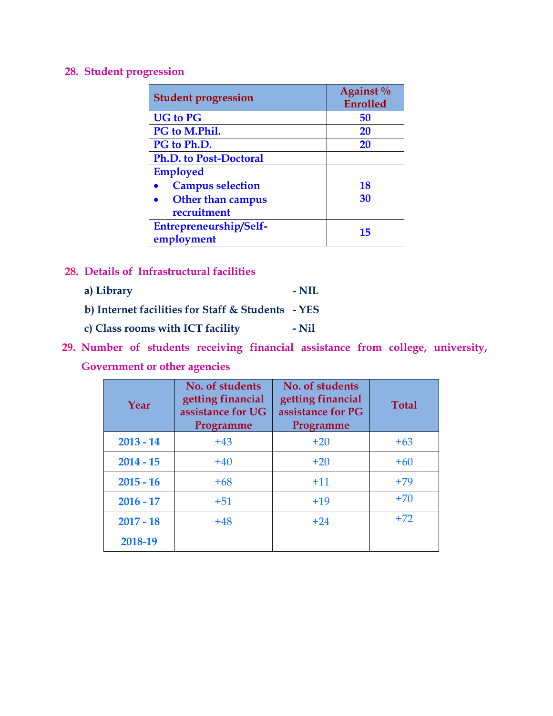#### **28. Student progression**

| <b>Student progression</b>           | Against <sup>0</sup> / <sub>0</sub><br>Enrolled |
|--------------------------------------|-------------------------------------------------|
| <b>UG</b> to PG                      | 50                                              |
| PG to M.Phil.                        | <b>20</b>                                       |
| PG to Ph.D.                          | <b>20</b>                                       |
| <b>Ph.D. to Post-Doctoral</b>        |                                                 |
| <b>Employed</b>                      |                                                 |
| <b>Campus selection</b>              | <b>18</b>                                       |
| <b>Other than campus</b>             | 30                                              |
| recruitment                          |                                                 |
| Entrepreneurship/Self-<br>employment | 15                                              |

- **28. Details of Infrastructural facilities** 
	- **a) Library - NIL b) Internet facilities for Staff & Students - YES**
	- **c) Class rooms with ICT facility - Nil**
- **29. Number of students receiving financial assistance from college, university, Government or other agencies**

| Year        | No. of students<br>getting financial<br>assistance for UG<br>Programme | No. of students<br>getting financial<br>assistance for PG<br>Programme | <b>Total</b> |
|-------------|------------------------------------------------------------------------|------------------------------------------------------------------------|--------------|
| $2013 - 14$ | $+43$                                                                  | $+20$                                                                  | $+63$        |
| $2014 - 15$ | $+40$                                                                  | $+20$                                                                  | $+60$        |
| $2015 - 16$ | $+68$                                                                  | $+11$                                                                  | $+79$        |
| $2016 - 17$ | $+51$                                                                  | $+19$                                                                  | $+70$        |
| $2017 - 18$ | $+48$                                                                  | $+24$                                                                  | $+72$        |
| 2018-19     |                                                                        |                                                                        |              |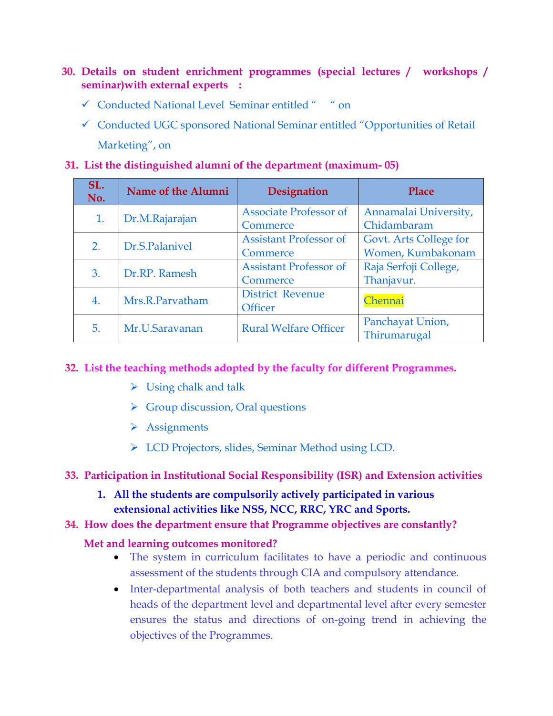- **30. Details on student enrichment programmes (special lectures / workshops / seminar)with external experts :** 
	- Conducted National Level Seminar entitled " " on
	- Conducted UGC sponsored National Seminar entitled "Opportunities of Retail Marketing", on
- **31. List the distinguished alumni of the department (maximum- 05)**

| SL.<br>No. | Name of the Alumni | Designation                               |                                             |  |
|------------|--------------------|-------------------------------------------|---------------------------------------------|--|
| 1.         | Dr.M.Rajarajan     | <b>Associate Professor of</b><br>Commerce | Annamalai University,<br>Chidambaram        |  |
| 2.         | Dr.S.Palanivel     | <b>Assistant Professor of</b><br>Commerce | Govt. Arts College for<br>Women, Kumbakonam |  |
| 3.         | Dr.RP. Ramesh      | <b>Assistant Professor of</b><br>Commerce | Raja Serfoji College,<br>Thanjavur.         |  |
| 4.         | Mrs.R.Parvatham    | <b>District Revenue</b><br><b>Officer</b> | Chennai                                     |  |
| 5.         | Mr.U.Saravanan     | <b>Rural Welfare Officer</b>              | Panchayat Union,<br>Thirumarugal            |  |

### **32. List the teaching methods adopted by the faculty for different Programmes.**

- $\triangleright$  Using chalk and talk
- $\triangleright$  Group discussion, Oral questions
- $\triangleright$  Assignments
- > LCD Projectors, slides, Seminar Method using LCD.

### **33. Participation in Institutional Social Responsibility (ISR) and Extension activities**

**1. All the students are compulsorily actively participated in various extensional activities like NSS, NCC, RRC, YRC and Sports.** 

### **34. How does the department ensure that Programme objectives are constantly?**

### **Met and learning outcomes monitored?**

- The system in curriculum facilitates to have a periodic and continuous assessment of the students through CIA and compulsory attendance.
- Inter-departmental analysis of both teachers and students in council of heads of the department level and departmental level after every semester ensures the status and directions of on-going trend in achieving the objectives of the Programmes.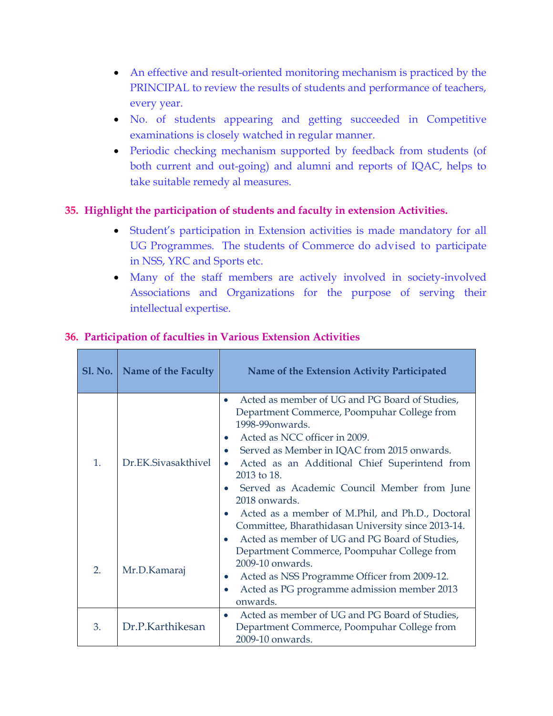- An effective and result-oriented monitoring mechanism is practiced by the PRINCIPAL to review the results of students and performance of teachers, every year.
- No. of students appearing and getting succeeded in Competitive examinations is closely watched in regular manner.
- Periodic checking mechanism supported by feedback from students (of both current and out-going) and alumni and reports of IQAC, helps to take suitable remedy al measures.

### **35. Highlight the participation of students and faculty in extension Activities.**

- Student's participation in Extension activities is made mandatory for all UG Programmes. The students of Commerce do advised to participate in NSS, YRC and Sports etc.
- Many of the staff members are actively involved in society-involved Associations and Organizations for the purpose of serving their intellectual expertise.

|  | SI. No.        | Name of the Faculty  | Name of the Extension Activity Participated                                                                                                                                                                                                                                                                                                                                                                                                                                                                                 |
|--|----------------|----------------------|-----------------------------------------------------------------------------------------------------------------------------------------------------------------------------------------------------------------------------------------------------------------------------------------------------------------------------------------------------------------------------------------------------------------------------------------------------------------------------------------------------------------------------|
|  | $\mathbf{1}$ . | Dr. EK Siyasakthiyel | Acted as member of UG and PG Board of Studies,<br>$\bullet$<br>Department Commerce, Poompuhar College from<br>1998-99 onwards.<br>Acted as NCC officer in 2009.<br>$\bullet$<br>Served as Member in IQAC from 2015 onwards.<br>$\bullet$<br>Acted as an Additional Chief Superintend from<br>$\bullet$<br>$2013$ to 18.<br>Served as Academic Council Member from June<br>$\bullet$<br>2018 onwards.<br>Acted as a member of M.Phil, and Ph.D., Doctoral<br>$\bullet$<br>Committee, Bharathidasan University since 2013-14. |
|  | 2.             | Mr.D.Kamaraj         | Acted as member of UG and PG Board of Studies,<br>$\bullet$<br>Department Commerce, Poompuhar College from<br>2009-10 onwards.<br>Acted as NSS Programme Officer from 2009-12.<br>$\bullet$<br>Acted as PG programme admission member 2013<br>onwards.                                                                                                                                                                                                                                                                      |
|  | 3.             | Dr.P.Karthikesan     | Acted as member of UG and PG Board of Studies,<br>Department Commerce, Poompuhar College from<br>2009-10 onwards.                                                                                                                                                                                                                                                                                                                                                                                                           |

#### **36. Participation of faculties in Various Extension Activities**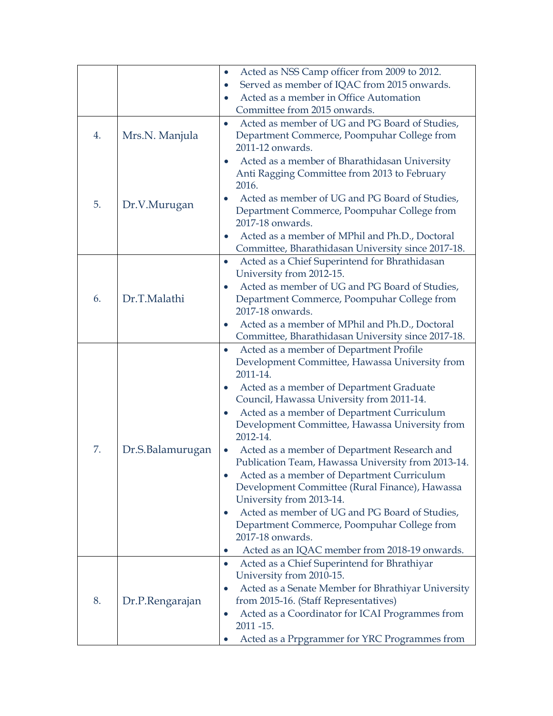|    |                  | Acted as NSS Camp officer from 2009 to 2012.                                                              |
|----|------------------|-----------------------------------------------------------------------------------------------------------|
|    |                  | Served as member of IQAC from 2015 onwards.<br>$\bullet$                                                  |
|    |                  | Acted as a member in Office Automation<br>$\bullet$                                                       |
|    |                  | Committee from 2015 onwards.                                                                              |
|    |                  | Acted as member of UG and PG Board of Studies,<br>$\bullet$                                               |
| 4. | Mrs.N. Manjula   | Department Commerce, Poompuhar College from<br>2011-12 onwards.                                           |
|    |                  | Acted as a member of Bharathidasan University<br>$\bullet$                                                |
|    |                  | Anti Ragging Committee from 2013 to February                                                              |
|    |                  | 2016.                                                                                                     |
|    |                  | Acted as member of UG and PG Board of Studies,                                                            |
| 5. | Dr.V.Murugan     | Department Commerce, Poompuhar College from                                                               |
|    |                  | 2017-18 onwards.                                                                                          |
|    |                  | Acted as a member of MPhil and Ph.D., Doctoral<br>$\bullet$                                               |
|    |                  | Committee, Bharathidasan University since 2017-18.                                                        |
|    |                  | Acted as a Chief Superintend for Bhrathidasan<br>$\bullet$                                                |
|    |                  | University from 2012-15.                                                                                  |
|    | Dr.T.Malathi     | Acted as member of UG and PG Board of Studies,                                                            |
| 6. |                  | Department Commerce, Poompuhar College from<br>2017-18 onwards.                                           |
|    |                  | Acted as a member of MPhil and Ph.D., Doctoral<br>$\bullet$                                               |
|    |                  | Committee, Bharathidasan University since 2017-18.                                                        |
|    |                  | Acted as a member of Department Profile<br>$\bullet$                                                      |
|    |                  | Development Committee, Hawassa University from                                                            |
|    |                  | 2011-14.                                                                                                  |
|    |                  | Acted as a member of Department Graduate<br>$\bullet$                                                     |
|    |                  | Council, Hawassa University from 2011-14.                                                                 |
|    |                  | Acted as a member of Department Curriculum<br>$\bullet$                                                   |
|    |                  | Development Committee, Hawassa University from<br>2012-14.                                                |
| 7. | Dr.S.Balamurugan | Acted as a member of Department Research and<br>$\bullet$                                                 |
|    |                  | Publication Team, Hawassa University from 2013-14.                                                        |
|    |                  | Acted as a member of Department Curriculum<br>$\bullet$                                                   |
|    |                  | Development Committee (Rural Finance), Hawassa                                                            |
|    |                  | University from 2013-14.                                                                                  |
|    |                  | Acted as member of UG and PG Board of Studies,<br>$\bullet$                                               |
|    |                  | Department Commerce, Poompuhar College from                                                               |
|    |                  | 2017-18 onwards.                                                                                          |
|    |                  | Acted as an IQAC member from 2018-19 onwards.<br>$\bullet$<br>Acted as a Chief Superintend for Bhrathiyar |
|    |                  | $\bullet$<br>University from 2010-15.                                                                     |
|    |                  | Acted as a Senate Member for Bhrathiyar University<br>$\bullet$                                           |
| 8. | Dr.P.Rengarajan  | from 2015-16. (Staff Representatives)                                                                     |
|    |                  | Acted as a Coordinator for ICAI Programmes from<br>$\bullet$                                              |
|    |                  | 2011 - 15.                                                                                                |
|    |                  | Acted as a Prpgrammer for YRC Programmes from                                                             |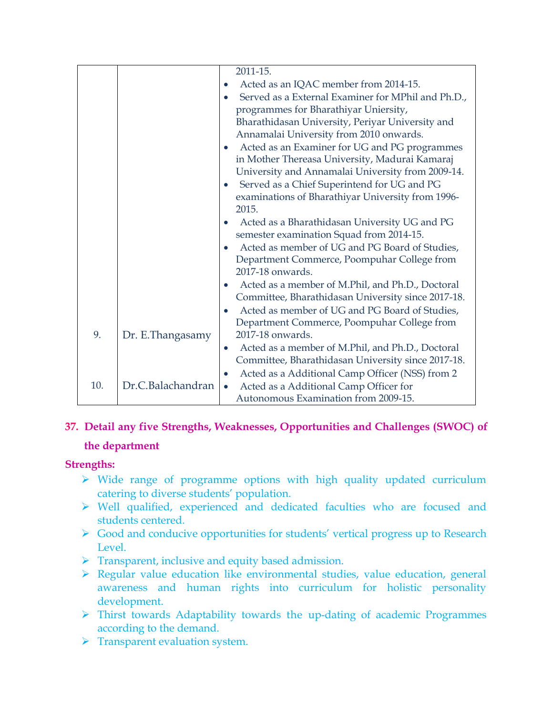|     |                   | 2011-15.<br>Acted as an IQAC member from 2014-15.<br>Served as a External Examiner for MPhil and Ph.D.,<br>programmes for Bharathiyar Uniersity,<br>Bharathidasan University, Periyar University and<br>Annamalai University from 2010 onwards.<br>Acted as an Examiner for UG and PG programmes<br>$\bullet$<br>in Mother Thereasa University, Madurai Kamaraj<br>University and Annamalai University from 2009-14.<br>Served as a Chief Superintend for UG and PG<br>$\bullet$<br>examinations of Bharathiyar University from 1996-<br>2015.<br>Acted as a Bharathidasan University UG and PG<br>$\bullet$<br>semester examination Squad from 2014-15. |
|-----|-------------------|----------------------------------------------------------------------------------------------------------------------------------------------------------------------------------------------------------------------------------------------------------------------------------------------------------------------------------------------------------------------------------------------------------------------------------------------------------------------------------------------------------------------------------------------------------------------------------------------------------------------------------------------------------|
|     |                   | Acted as member of UG and PG Board of Studies,<br>Department Commerce, Poompuhar College from<br>2017-18 onwards.                                                                                                                                                                                                                                                                                                                                                                                                                                                                                                                                        |
|     |                   | Acted as a member of M.Phil, and Ph.D., Doctoral<br>$\bullet$<br>Committee, Bharathidasan University since 2017-18.                                                                                                                                                                                                                                                                                                                                                                                                                                                                                                                                      |
| 9.  | Dr. E.Thangasamy  | Acted as member of UG and PG Board of Studies,<br>Department Commerce, Poompuhar College from<br>2017-18 onwards.                                                                                                                                                                                                                                                                                                                                                                                                                                                                                                                                        |
|     |                   | Acted as a member of M.Phil, and Ph.D., Doctoral<br>$\bullet$<br>Committee, Bharathidasan University since 2017-18.                                                                                                                                                                                                                                                                                                                                                                                                                                                                                                                                      |
| 10. | Dr.C.Balachandran | Acted as a Additional Camp Officer (NSS) from 2<br>$\bullet$<br>Acted as a Additional Camp Officer for<br>$\bullet$<br>Autonomous Examination from 2009-15.                                                                                                                                                                                                                                                                                                                                                                                                                                                                                              |

### **37. Detail any five Strengths, Weaknesses, Opportunities and Challenges (SWOC) of**

### **the department**

### **Strengths:**

- $\triangleright$  Wide range of programme options with high quality updated curriculum catering to diverse students' population.
- Well qualified, experienced and dedicated faculties who are focused and students centered.
- Good and conducive opportunities for students' vertical progress up to Research Level.
- $\triangleright$  Transparent, inclusive and equity based admission.
- $\triangleright$  Regular value education like environmental studies, value education, general awareness and human rights into curriculum for holistic personality development.
- Thirst towards Adaptability towards the up-dating of academic Programmes according to the demand.
- > Transparent evaluation system.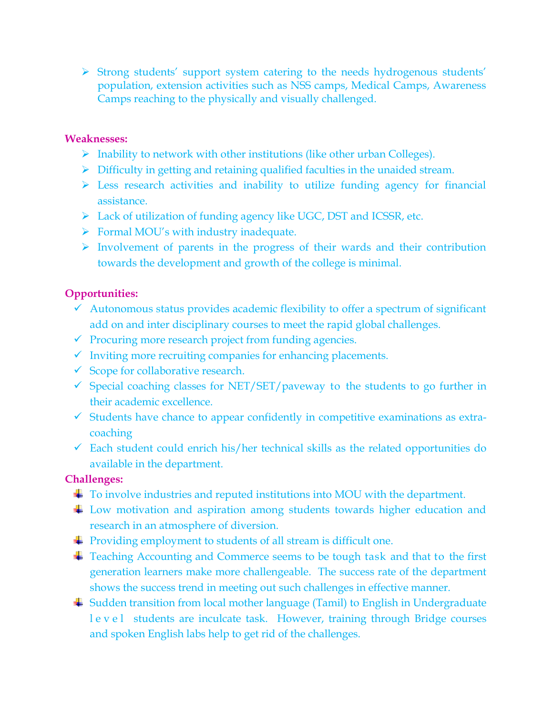Strong students' support system catering to the needs hydrogenous students' population, extension activities such as NSS camps, Medical Camps, Awareness Camps reaching to the physically and visually challenged.

#### **Weaknesses:**

- $\triangleright$  Inability to network with other institutions (like other urban Colleges).
- $\triangleright$  Difficulty in getting and retaining qualified faculties in the unaided stream.
- $\triangleright$  Less research activities and inability to utilize funding agency for financial assistance.
- Lack of utilization of funding agency like UGC, DST and ICSSR, etc.
- $\triangleright$  Formal MOU's with industry inadequate.
- $\triangleright$  Involvement of parents in the progress of their wards and their contribution towards the development and growth of the college is minimal.

### **Opportunities:**

- $\checkmark$  Autonomous status provides academic flexibility to offer a spectrum of significant add on and inter disciplinary courses to meet the rapid global challenges.
- $\checkmark$  Procuring more research project from funding agencies.
- $\checkmark$  Inviting more recruiting companies for enhancing placements.
- $\checkmark$  Scope for collaborative research.
- $\checkmark$  Special coaching classes for NET/SET/paveway to the students to go further in their academic excellence.
- $\checkmark$  Students have chance to appear confidently in competitive examinations as extracoaching
- $\checkmark$  Each student could enrich his/her technical skills as the related opportunities do available in the department.

### **Challenges:**

- To involve industries and reputed institutions into MOU with the department.
- ↓ Low motivation and aspiration among students towards higher education and research in an atmosphere of diversion.
- Froviding employment to students of all stream is difficult one.
- Teaching Accounting and Commerce seems to be tough task and that to the first generation learners make more challengeable. The success rate of the department shows the success trend in meeting out such challenges in effective manner.
- Sudden transition from local mother language (Tamil) to English in Undergraduate l e v e l students are inculcate task. However, training through Bridge courses and spoken English labs help to get rid of the challenges.